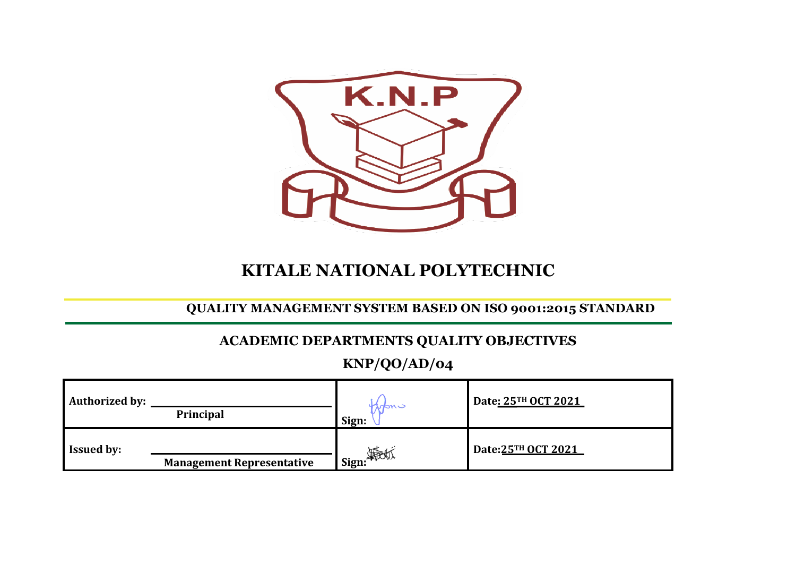

# **KITALE NATIONAL POLYTECHNIC**

## **QUALITY MANAGEMENT SYSTEM BASED ON ISO 9001:2015 STANDARD**

## **ACADEMIC DEPARTMENTS QUALITY OBJECTIVES**

**KNP/QO/AD/04**

| <b>Authorized by:</b> | Principal                        | wans<br>Sign: | Date: 25TH OCT 2021 |  |
|-----------------------|----------------------------------|---------------|---------------------|--|
| <b>Issued by:</b>     | <b>Management Representative</b> | sign: 海地      | Date: 25TH OCT 2021 |  |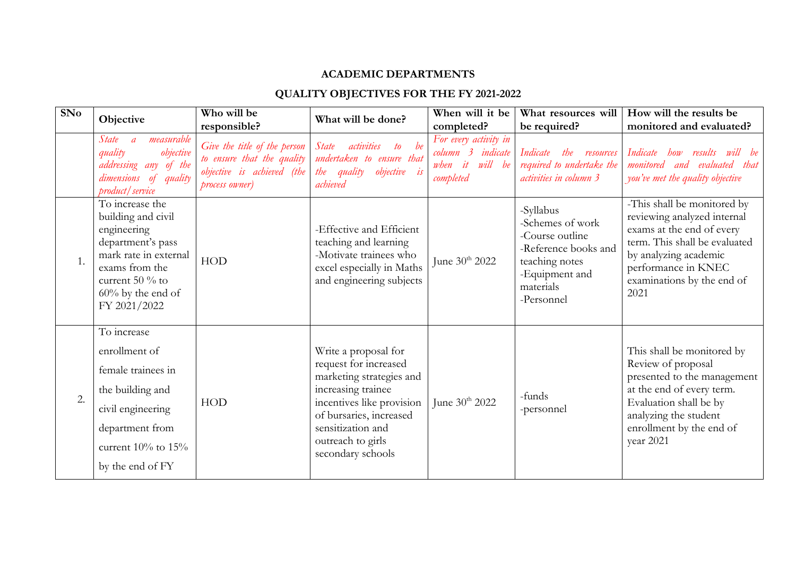#### **ACADEMIC DEPARTMENTS**

### **QUALITY OBJECTIVES FOR THE FY 2021-2022**

| SNo | Objective                                                                                                                                                                       | Who will be<br>responsible?                                                                                | What will be done?                                                                                                                                                                                                     | When will it be<br>completed?                                                    | What resources will<br>be required?                                                                                                     | How will the results be<br>monitored and evaluated?                                                                                                                                                            |
|-----|---------------------------------------------------------------------------------------------------------------------------------------------------------------------------------|------------------------------------------------------------------------------------------------------------|------------------------------------------------------------------------------------------------------------------------------------------------------------------------------------------------------------------------|----------------------------------------------------------------------------------|-----------------------------------------------------------------------------------------------------------------------------------------|----------------------------------------------------------------------------------------------------------------------------------------------------------------------------------------------------------------|
|     | measurable<br>State<br>$\overline{a}$<br>objective<br>quality<br>addressing any of the<br>dimensions of quality<br>product/service                                              | Give the title of the person<br>to ensure that the quality<br>objective is achieved (the<br>process owner) | to be<br><i>State</i><br>activities<br>undertaken to ensure that<br>the quality objective is<br>achieved                                                                                                               | For every activity in<br>column 3 indicate<br>will be<br>it<br>when<br>completed | Indicate<br>the<br>resources<br>required to undertake the<br>activities in column 3                                                     | Indicate<br>how results will be<br>monitored and evaluated<br>that<br>you've met the quality objective                                                                                                         |
| 1.  | To increase the<br>building and civil<br>engineering<br>department's pass<br>mark rate in external<br>exams from the<br>current 50 % to<br>$60\%$ by the end of<br>FY 2021/2022 | <b>HOD</b>                                                                                                 | -Effective and Efficient<br>teaching and learning<br>-Motivate trainees who<br>excel especially in Maths<br>and engineering subjects                                                                                   | June 30th 2022                                                                   | -Syllabus<br>-Schemes of work<br>-Course outline<br>-Reference books and<br>teaching notes<br>-Equipment and<br>materials<br>-Personnel | -This shall be monitored by<br>reviewing analyzed internal<br>exams at the end of every<br>term. This shall be evaluated<br>by analyzing academic<br>performance in KNEC<br>examinations by the end of<br>2021 |
| 2.  | To increase<br>enrollment of<br>female trainees in<br>the building and<br>civil engineering<br>department from<br>current $10\%$ to $15\%$<br>by the end of FY                  | <b>HOD</b>                                                                                                 | Write a proposal for<br>request for increased<br>marketing strategies and<br>increasing trainee<br>incentives like provision<br>of bursaries, increased<br>sensitization and<br>outreach to girls<br>secondary schools | June $30^{th}$ 2022                                                              | -funds<br>-personnel                                                                                                                    | This shall be monitored by<br>Review of proposal<br>presented to the management<br>at the end of every term.<br>Evaluation shall be by<br>analyzing the student<br>enrollment by the end of<br>year 2021       |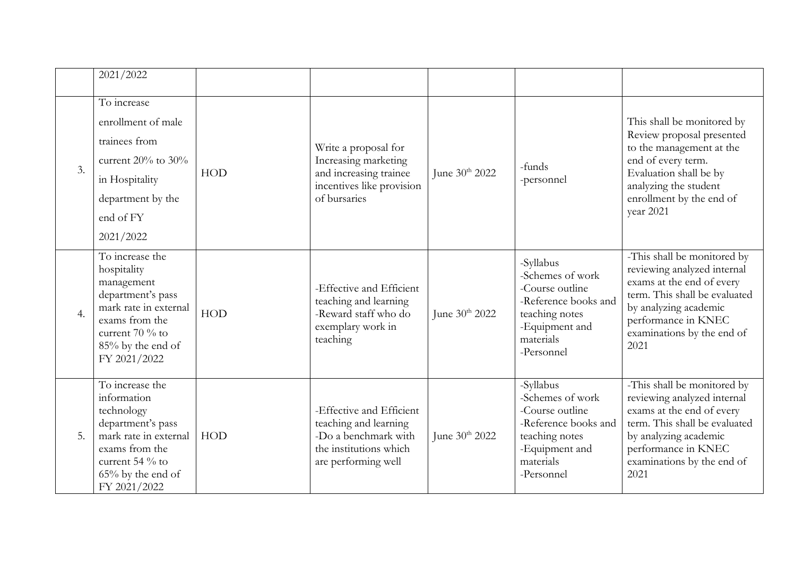|    | 2021/2022                                                                                                                                                               |            |                                                                                                                            |                     |                                                                                                                                         |                                                                                                                                                                                                                |
|----|-------------------------------------------------------------------------------------------------------------------------------------------------------------------------|------------|----------------------------------------------------------------------------------------------------------------------------|---------------------|-----------------------------------------------------------------------------------------------------------------------------------------|----------------------------------------------------------------------------------------------------------------------------------------------------------------------------------------------------------------|
| 3. | To increase<br>enrollment of male<br>trainees from<br>current $20\%$ to $30\%$<br>in Hospitality<br>department by the<br>end of FY<br>2021/2022                         | HOD        | Write a proposal for<br>Increasing marketing<br>and increasing trainee<br>incentives like provision<br>of bursaries        | June $30^{th}$ 2022 | -funds<br>-personnel                                                                                                                    | This shall be monitored by<br>Review proposal presented<br>to the management at the<br>end of every term.<br>Evaluation shall be by<br>analyzing the student<br>enrollment by the end of<br>year 2021          |
| 4. | To increase the<br>hospitality<br>management<br>department's pass<br>mark rate in external<br>exams from the<br>current $70%$ to<br>85% by the end of<br>FY 2021/2022   | <b>HOD</b> | -Effective and Efficient<br>teaching and learning<br>-Reward staff who do<br>exemplary work in<br>teaching                 | June $30^{th}$ 2022 | -Syllabus<br>-Schemes of work<br>-Course outline<br>-Reference books and<br>teaching notes<br>-Equipment and<br>materials<br>-Personnel | -This shall be monitored by<br>reviewing analyzed internal<br>exams at the end of every<br>term. This shall be evaluated<br>by analyzing academic<br>performance in KNEC<br>examinations by the end of<br>2021 |
| 5. | To increase the<br>information<br>technology<br>department's pass<br>mark rate in external<br>exams from the<br>current 54 % to<br>$65\%$ by the end of<br>FY 2021/2022 | HOD        | -Effective and Efficient<br>teaching and learning<br>-Do a benchmark with<br>the institutions which<br>are performing well | June 30th 2022      | -Syllabus<br>-Schemes of work<br>-Course outline<br>-Reference books and<br>teaching notes<br>-Equipment and<br>materials<br>-Personnel | -This shall be monitored by<br>reviewing analyzed internal<br>exams at the end of every<br>term. This shall be evaluated<br>by analyzing academic<br>performance in KNEC<br>examinations by the end of<br>2021 |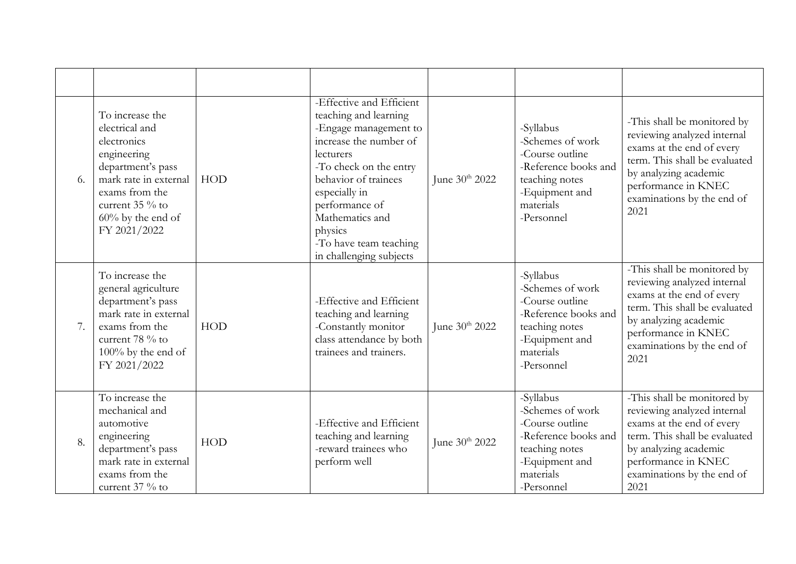| 6. | To increase the<br>electrical and<br>electronics<br>engineering<br>department's pass<br>mark rate in external<br>exams from the<br>current 35 % to<br>$60\%$ by the end of<br>FY 2021/2022 | HOD | -Effective and Efficient<br>teaching and learning<br>-Engage management to<br>increase the number of<br>lecturers<br>-To check on the entry<br>behavior of trainees<br>especially in<br>performance of<br>Mathematics and<br>physics<br>-To have team teaching<br>in challenging subjects | June $30^{th}$ 2022        | -Syllabus<br>-Schemes of work<br>-Course outline<br>-Reference books and<br>teaching notes<br>-Equipment and<br>materials<br>-Personnel | -This shall be monitored by<br>reviewing analyzed internal<br>exams at the end of every<br>term. This shall be evaluated<br>by analyzing academic<br>performance in KNEC<br>examinations by the end of<br>2021 |
|----|--------------------------------------------------------------------------------------------------------------------------------------------------------------------------------------------|-----|-------------------------------------------------------------------------------------------------------------------------------------------------------------------------------------------------------------------------------------------------------------------------------------------|----------------------------|-----------------------------------------------------------------------------------------------------------------------------------------|----------------------------------------------------------------------------------------------------------------------------------------------------------------------------------------------------------------|
| 7. | To increase the<br>general agriculture<br>department's pass<br>mark rate in external<br>exams from the<br>current 78 % to<br>$100\%$ by the end of<br>FY 2021/2022                         | HOD | -Effective and Efficient<br>teaching and learning<br>-Constantly monitor<br>class attendance by both<br>trainees and trainers.                                                                                                                                                            | June 30 <sup>th</sup> 2022 | -Syllabus<br>-Schemes of work<br>-Course outline<br>-Reference books and<br>teaching notes<br>-Equipment and<br>materials<br>-Personnel | -This shall be monitored by<br>reviewing analyzed internal<br>exams at the end of every<br>term. This shall be evaluated<br>by analyzing academic<br>performance in KNEC<br>examinations by the end of<br>2021 |
| 8. | To increase the<br>mechanical and<br>automotive<br>engineering<br>department's pass<br>mark rate in external<br>exams from the<br>current $37%$ to                                         | HOD | -Effective and Efficient<br>teaching and learning<br>-reward trainees who<br>perform well                                                                                                                                                                                                 | June 30th 2022             | -Syllabus<br>-Schemes of work<br>-Course outline<br>-Reference books and<br>teaching notes<br>-Equipment and<br>materials<br>-Personnel | -This shall be monitored by<br>reviewing analyzed internal<br>exams at the end of every<br>term. This shall be evaluated<br>by analyzing academic<br>performance in KNEC<br>examinations by the end of<br>2021 |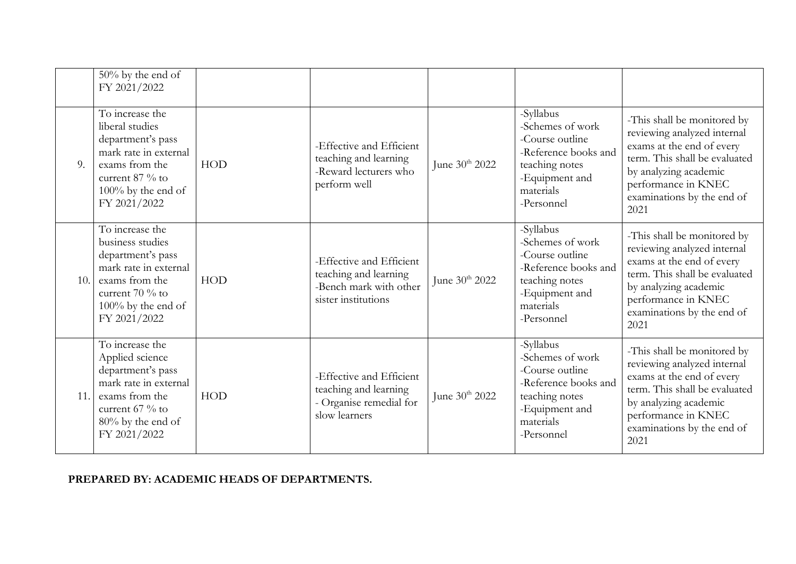|     | 50% by the end of<br>FY 2021/2022                                                                                                                                 |     |                                                                                                    |                            |                                                                                                                                         |                                                                                                                                                                                                                |
|-----|-------------------------------------------------------------------------------------------------------------------------------------------------------------------|-----|----------------------------------------------------------------------------------------------------|----------------------------|-----------------------------------------------------------------------------------------------------------------------------------------|----------------------------------------------------------------------------------------------------------------------------------------------------------------------------------------------------------------|
| 9.  | To increase the<br>liberal studies<br>department's pass<br>mark rate in external<br>exams from the<br>current $87\%$ to<br>$100\%$ by the end of<br>FY 2021/2022  | HOD | -Effective and Efficient<br>teaching and learning<br>-Reward lecturers who<br>perform well         | June 30 <sup>th</sup> 2022 | -Syllabus<br>-Schemes of work<br>-Course outline<br>-Reference books and<br>teaching notes<br>-Equipment and<br>materials<br>-Personnel | -This shall be monitored by<br>reviewing analyzed internal<br>exams at the end of every<br>term. This shall be evaluated<br>by analyzing academic<br>performance in KNEC<br>examinations by the end of<br>2021 |
| 10. | To increase the<br>business studies<br>department's pass<br>mark rate in external<br>exams from the<br>current $70\%$ to<br>$100\%$ by the end of<br>FY 2021/2022 | HOD | -Effective and Efficient<br>teaching and learning<br>-Bench mark with other<br>sister institutions | June 30 <sup>th</sup> 2022 | -Syllabus<br>-Schemes of work<br>-Course outline<br>-Reference books and<br>teaching notes<br>-Equipment and<br>materials<br>-Personnel | -This shall be monitored by<br>reviewing analyzed internal<br>exams at the end of every<br>term. This shall be evaluated<br>by analyzing academic<br>performance in KNEC<br>examinations by the end of<br>2021 |
| 11. | To increase the<br>Applied science<br>department's pass<br>mark rate in external<br>exams from the<br>current $67\%$ to<br>$80\%$ by the end of<br>FY 2021/2022   | HOD | -Effective and Efficient<br>teaching and learning<br>- Organise remedial for<br>slow learners      | June 30 <sup>th</sup> 2022 | -Syllabus<br>-Schemes of work<br>-Course outline<br>-Reference books and<br>teaching notes<br>-Equipment and<br>materials<br>-Personnel | -This shall be monitored by<br>reviewing analyzed internal<br>exams at the end of every<br>term. This shall be evaluated<br>by analyzing academic<br>performance in KNEC<br>examinations by the end of<br>2021 |

#### **PREPARED BY: ACADEMIC HEADS OF DEPARTMENTS.**